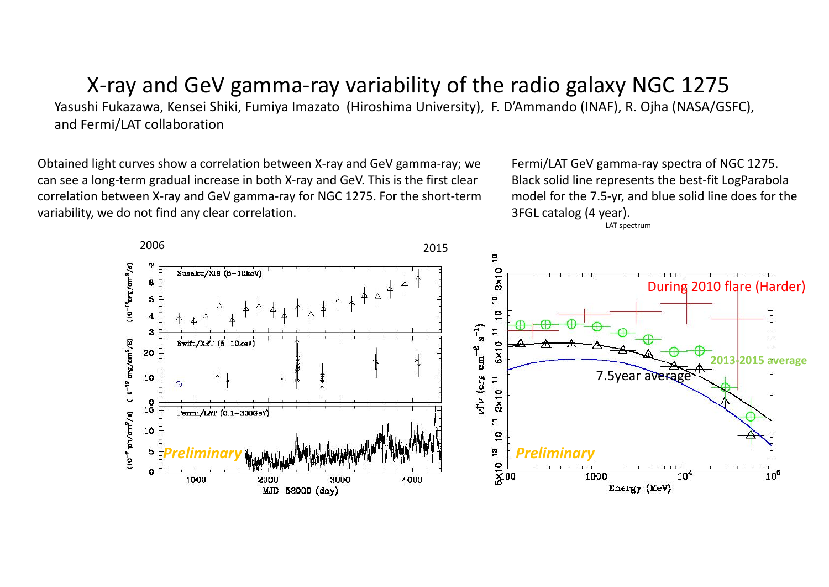# X‐ray and GeV gamma‐ray variability of the radio galaxy NGC 1275

Yasushi Fukazawa, Kensei Shiki, Fumiya Imazato (Hiroshima University), F. D'Ammando (INAF), R. Ojha (NASA/GSFC), and Fermi/LAT collaboration

Obtained light curves show <sup>a</sup> correlation between X‐ray and GeV gamma‐ray; we can see <sup>a</sup> long‐term gradual increase in both X‐ray and GeV. This is the first clear correlation between X‐ray and GeV gamma‐ray for NGC 1275. For the short‐term variability, we do not find any clear correlation.

Fermi/LAT GeV gamma‐ray spectra of NGC 1275. Black solid line represents the best‐fit LogParabola model for the 7.5‐yr, and blue solid line does for the 3FGL catalog (4 year).

LAT spectrum

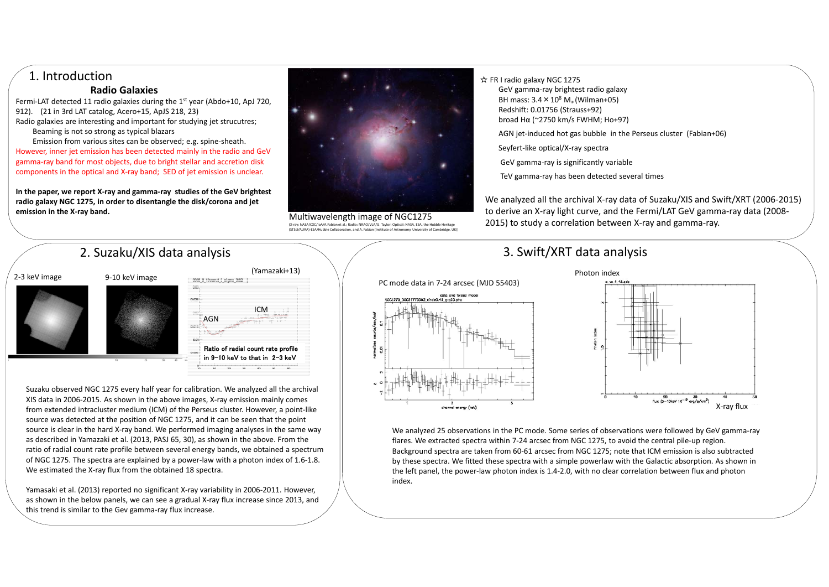## 1. Introduction

#### **Radio Galaxies**

Fermi-LAT detected 11 radio galaxies during the 1<sup>st</sup> year (Abdo+10, ApJ 720, 912). (21 in 3rd LAT catalog, Acero+15, ApJS 218, 23) Radio galaxies are interesting and important for studying jet strucutres; Beaming is not so strong as typical blazars

Emission from various sites can be observed; e.g. spine‐sheath. However, inner jet emission has been detected mainly in the radio and GeV gamma‐ray band for most objects, due to bright stellar and accretion disk components in the optical and X‐ray band; SED of jet emission is unclear.

**In the paper, we report X‐ray and gamma‐ray studies of the GeV brightest radio galaxy NGC 1275, in order to disentangle the disk/corona and jet emission in the X‐ray band.**

2. Suzaku/XIS data analysis



Multiwavelength image of NGC1275 (X‐ray: NASA/CXC/IoA/A.Fabian et al.; Radio: NRAO/VLA/G. Taylor; Optical: NASA, ESA, the Hubble Heritage (STScI/AURA)‐ESA/Hubble Collaboration, and A. Fabian (Institute of Astronomy, University of Cambridge, UK))

☆ FR I radio galaxy NGC 1275 GeV gamma‐ray brightest radio galaxy BH mass: 3.4  $\times$  10 $^{8}$  M $_{\circ}$  (Wilman+05) Redshift: 0.01756 (Strauss+92)

- broad Hα (~2750 km/s FWHM; Ho+97)
- AGN jet‐induced hot gas bubble in the Perseus cluster (Fabian+06)
- Seyfert‐like optical/X‐ray spectra
- GeV gamma‐ray is significantly variable
- TeV gamma‐ray has been detected several times

We analyzed all the archival X‐ray data of Suzaku/XIS and Swift/XRT (2006‐2015) to derive an X‐ray light curve, and the Fermi/LAT GeV gamma‐ray data (2008‐ 2015) to study <sup>a</sup> correlation between X‐ray and gamma‐ray.

# 3. Swift/XRT data analysis



Suzaku observed NGC 1275 every half year for calibration. We analyzed all the archival XIS data in 2006‐2015. As shown in the above images, X‐ray emission mainly comes from extended intracluster medium (ICM) of the Perseus cluster. However, <sup>a</sup> point‐like source was detected at the position of NGC 1275, and it can be seen that the point source is clear in the hard X-ray band. We performed imaging analyses in the same way as described in Yamazaki et al. (2013, PASJ 65, 30), as shown in the above. From the ratio of radial count rate profile between several energy bands, we obtained <sup>a</sup> spectrum of NGC 1275. The spectra are explained by <sup>a</sup> power‐law with <sup>a</sup> photon index of 1.6‐1.8. We estimated the X‐ray flux from the obtained 18 spectra.

Yamasaki et al. (2013) reported no significant X‐ray variability in 2006‐2011. However, as shown in the below panels, we can see <sup>a</sup> gradual X‐ray flux increase since 2013, and this trend is similar to the Gev gamma‐ray flux increase.





We analyzed 25 observations in the PC mode. Some series of observations were followed by GeV gamma‐ray flares. We extracted spectra within 7‐24 arcsec from NGC 1275, to avoid the central pile‐up region. Background spectra are taken from 60‐61 arcsec from NGC 1275; note that ICM emission is also subtracted by these spectra. We fitted these spectra with <sup>a</sup> simple powerlaw with the Galactic absorption. As shown in the left panel, the power‐law photon index is 1.4‐2.0, with no clear correlation between flux and photon index.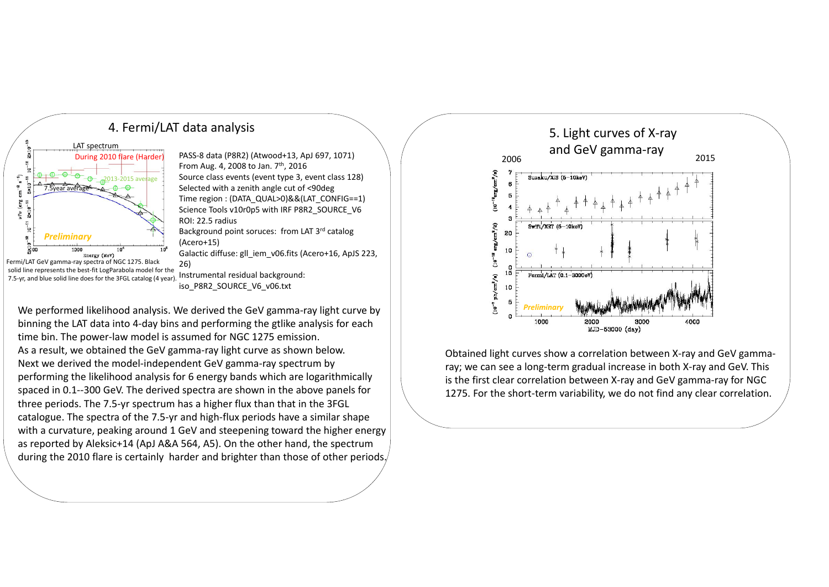

4. Fermi/LAT data analysis

During 2010 flare (Harder) PASS‐8 data (P8R2) (Atwood+13, ApJ 697, 1071)  $\hskip1cm \Big\backslash$ From Aug. 4, 2008 to Jan. 7<sup>th</sup>, 2016 Source class events (event type 3, event class 128) Selected with <sup>a</sup> zenith angle cut of <90deg Time region : (DATA\_QUAL>0)&&(LAT\_CONFIG==1) Science Tools v10r0p5 with IRF P8R2\_SOURCE\_V6 ROI: 22.5 radius Background point soruces: from LAT 3rd catalog (Acero+15) Galactic diffuse: gll\_iem\_v06.fits (Acero+16, ApJS 223, 26)

> Instrumental residual background: iso\_P8R2\_SOURCE\_V6\_v06.txt

We performed likelihood analysis. We derived the GeV gamma‐ray light curve by binning the LAT data into 4‐day bins and performing the gtlike analysis for each time bin. The power‐law model is assumed for NGC 1275 emission. As a result, we obtained the GeV gamma‐ray light curve as shown below. Next we derived the model‐independent GeV gamma‐ray spectrum by performing the likelihood analysis for 6 energy bands which are logarithmically spaced in 0.1‐‐300 GeV. The derived spectra are shown in the above panels for three periods. The 7.5‐yr spectrum has <sup>a</sup> higher flux than that in the 3FGL catalogue. The spectra of the 7.5‐yr and high‐flux periods have <sup>a</sup> similar shape with <sup>a</sup> curvature, peaking around 1 GeV and steepening toward the higher energy as reported by Aleksic+14 (ApJ A&A 564, A5). On the other hand, the spectrum during the 2010 flare is certainly harder and brighter than those of other periods.



Obtained light curves show <sup>a</sup> correlation between X‐ray and GeV gamma‐ ray; we can see <sup>a</sup> long‐term gradual increase in both X‐ray and GeV. This is the first clear correlation between X‐ray and GeV gamma‐ray for NGC 1275. For the short-term variability, we do not find any clear correlation.